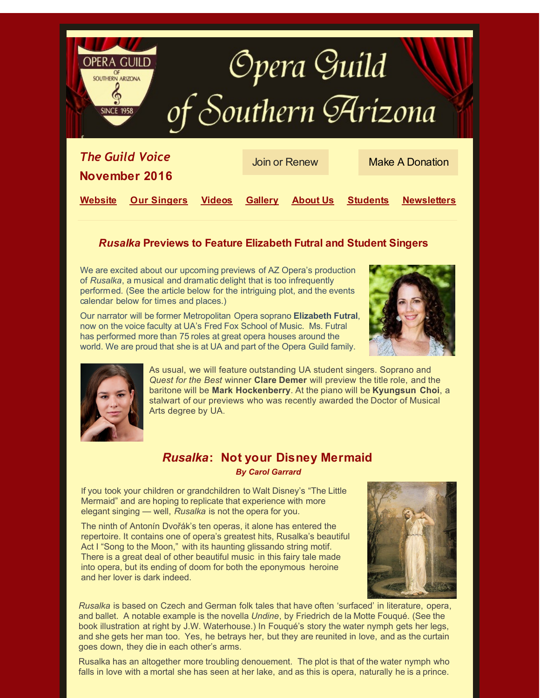

# *[Rus](http://r20.rs6.net/tn.jsp?f=001EkOHizNYlGW6VDW3iyXSEAMxh8pTnlNBxs5Kgj4Q8busrJ8CU5JhFvUlUg8qbxPIOWDXL8wWx17b7U-QVZ-Y-B6QTatPUJHB_4F2bf_bI9B0pfRs1PSqRM64MIiTtZ_15lkfkz_3CIE=&c=&ch=)alka* **Previews to Feature Elizabeth Futral and Student Singers**

We are excited about our upcoming previews of AZ Opera's production of *Rusalka*, a musical and dramatic delight that is too infrequently performed*.* (See the article below for the intriguing plot, and the events calendar below for times and places.)

Our narrator will be former Metropolitan Opera soprano **Elizabeth Futral**, now on the voice faculty at UA's Fred Fox School of Music. Ms. Futral has performed more than 75 roles at great opera houses around the world. We are proud that she is at UA and part of the Opera Guild family.





As usual, we will feature outstanding UA student singers. Soprano and *Quest for the Best* winner **Clare Demer** will preview the title role, and the baritone will be **Mark Hockenberry**. At the piano will be **Kyungsun Choi**, a stalwart of our previews who was recently awarded the Doctor of Musical Arts degree by UA.

# *Rusalka***: Not your Disney Mermaid** *By Carol Garrard*

If you took your children or grandchildren to Walt Disney's "The Little Mermaid" and are hoping to replicate that experience with more elegant singing — well, *Rusalka* is not the opera for you.

The ninth of Antonín Dvořák's ten operas, it alone has entered the repertoire. It contains one of opera's greatest hits, Rusalka's beautiful Act I "Song to the Moon," with its haunting glissando string motif. There is a great deal of other beautiful music in this fairy tale made into opera, but its ending of doom for both the eponymous heroine and her lover is dark indeed.



*Rusalka* is based on Czech and German folk tales that have often 'surfaced' in literature, opera, and ballet. A notable example is the novella *Undine*, by Friedrich de la Motte Fouqué. (See the book illustration at right by J.W. Waterhouse.) In Fouqué's story the water nymph gets her legs, and she gets her man too. Yes, he betrays her, but they are reunited in love, and as the curtain goes down, they die in each other's arms.

Rusalka has an altogether more troubling denouement. The plot is that of the water nymph who falls in love with a mortal she has seen at her lake, and as this is opera, naturally he is a prince.